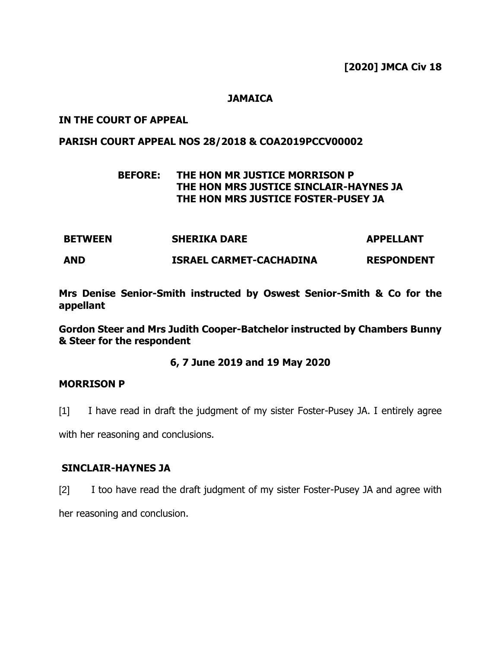**[2020] JMCA Civ 18**

## **JAMAICA**

## **IN THE COURT OF APPEAL**

### **PARISH COURT APPEAL NOS 28/2018 & COA2019PCCV00002**

# **BEFORE: THE HON MR JUSTICE MORRISON P THE HON MRS JUSTICE SINCLAIR-HAYNES JA THE HON MRS JUSTICE FOSTER-PUSEY JA**

**BETWEEN SHERIKA DARE APPELLANT AND ISRAEL CARMET-CACHADINA RESPONDENT**

**Mrs Denise Senior-Smith instructed by Oswest Senior-Smith & Co for the appellant**

**Gordon Steer and Mrs Judith Cooper-Batchelor instructed by Chambers Bunny & Steer for the respondent**

### **6, 7 June 2019 and 19 May 2020**

### **MORRISON P**

[1] I have read in draft the judgment of my sister Foster-Pusey JA. I entirely agree

with her reasoning and conclusions.

## **SINCLAIR-HAYNES JA**

[2] I too have read the draft judgment of my sister Foster-Pusey JA and agree with her reasoning and conclusion.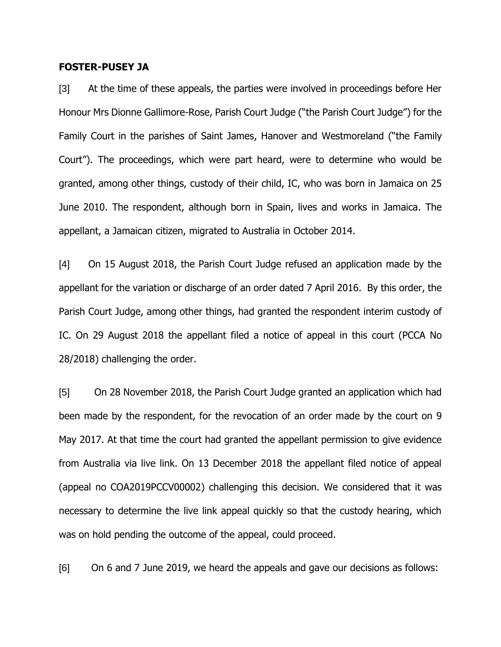#### **FOSTER-PUSEY JA**

[3] At the time of these appeals, the parties were involved in proceedings before Her Honour Mrs Dionne Gallimore-Rose, Parish Court Judge ("the Parish Court Judge") for the Family Court in the parishes of Saint James, Hanover and Westmoreland ("the Family Court"). The proceedings, which were part heard, were to determine who would be granted, among other things, custody of their child, IC, who was born in Jamaica on 25 June 2010. The respondent, although born in Spain, lives and works in Jamaica. The appellant, a Jamaican citizen, migrated to Australia in October 2014.

[4] On 15 August 2018, the Parish Court Judge refused an application made by the appellant for the variation or discharge of an order dated 7 April 2016. By this order, the Parish Court Judge, among other things, had granted the respondent interim custody of IC. On 29 August 2018 the appellant filed a notice of appeal in this court (PCCA No 28/2018) challenging the order.

[5] On 28 November 2018, the Parish Court Judge granted an application which had been made by the respondent, for the revocation of an order made by the court on 9 May 2017. At that time the court had granted the appellant permission to give evidence from Australia via live link. On 13 December 2018 the appellant filed notice of appeal (appeal no COA2019PCCV00002) challenging this decision. We considered that it was necessary to determine the live link appeal quickly so that the custody hearing, which was on hold pending the outcome of the appeal, could proceed.

[6] On 6 and 7 June 2019, we heard the appeals and gave our decisions as follows: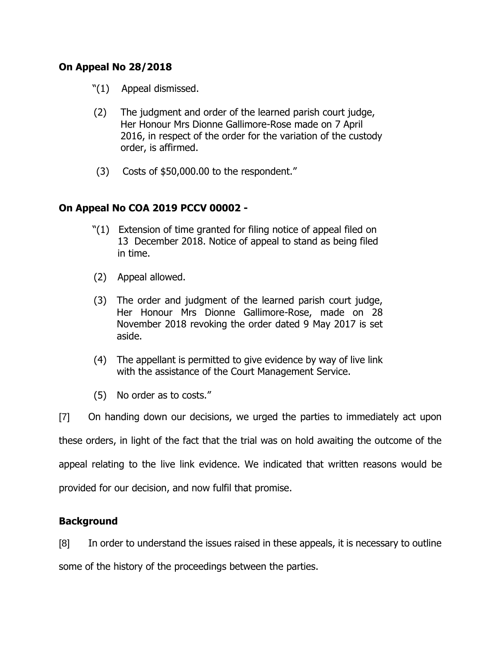# **On Appeal No 28/2018**

- "(1) Appeal dismissed.
- (2) The judgment and order of the learned parish court judge, Her Honour Mrs Dionne Gallimore-Rose made on 7 April 2016, in respect of the order for the variation of the custody order, is affirmed.
- (3) Costs of \$50,000.00 to the respondent."

# **On Appeal No COA 2019 PCCV 00002 -**

- "(1) Extension of time granted for filing notice of appeal filed on 13 December 2018. Notice of appeal to stand as being filed in time.
- (2) Appeal allowed.
- (3) The order and judgment of the learned parish court judge, Her Honour Mrs Dionne Gallimore-Rose, made on 28 November 2018 revoking the order dated 9 May 2017 is set aside.
- (4) The appellant is permitted to give evidence by way of live link with the assistance of the Court Management Service.
- (5) No order as to costs."

[7] On handing down our decisions, we urged the parties to immediately act upon these orders, in light of the fact that the trial was on hold awaiting the outcome of the appeal relating to the live link evidence. We indicated that written reasons would be provided for our decision, and now fulfil that promise.

# **Background**

[8] In order to understand the issues raised in these appeals, it is necessary to outline some of the history of the proceedings between the parties.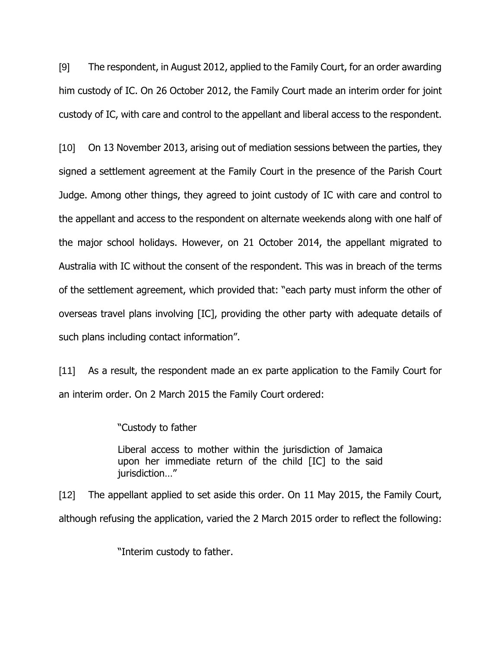[9] The respondent, in August 2012, applied to the Family Court, for an order awarding him custody of IC. On 26 October 2012, the Family Court made an interim order for joint custody of IC, with care and control to the appellant and liberal access to the respondent.

[10] On 13 November 2013, arising out of mediation sessions between the parties, they signed a settlement agreement at the Family Court in the presence of the Parish Court Judge. Among other things, they agreed to joint custody of IC with care and control to the appellant and access to the respondent on alternate weekends along with one half of the major school holidays. However, on 21 October 2014, the appellant migrated to Australia with IC without the consent of the respondent. This was in breach of the terms of the settlement agreement, which provided that: "each party must inform the other of overseas travel plans involving [IC], providing the other party with adequate details of such plans including contact information".

[11] As a result, the respondent made an ex parte application to the Family Court for an interim order. On 2 March 2015 the Family Court ordered:

"Custody to father

Liberal access to mother within the jurisdiction of Jamaica upon her immediate return of the child [IC] to the said jurisdiction…"

[12] The appellant applied to set aside this order. On 11 May 2015, the Family Court, although refusing the application, varied the 2 March 2015 order to reflect the following:

"Interim custody to father.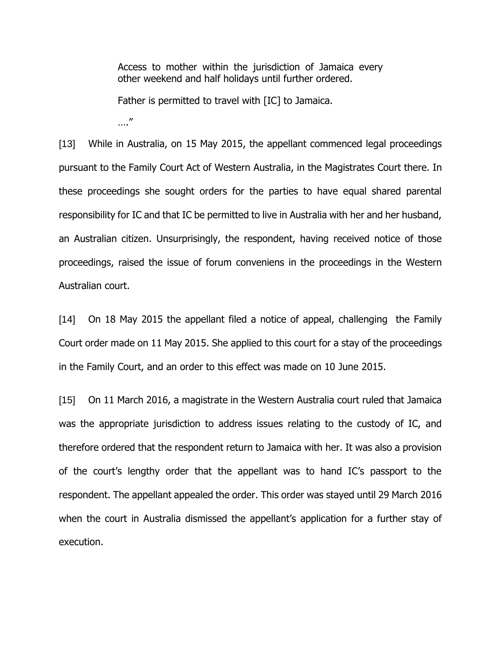Access to mother within the jurisdiction of Jamaica every other weekend and half holidays until further ordered.

Father is permitted to travel with [IC] to Jamaica.

…."

[13] While in Australia, on 15 May 2015, the appellant commenced legal proceedings pursuant to the Family Court Act of Western Australia, in the Magistrates Court there. In these proceedings she sought orders for the parties to have equal shared parental responsibility for IC and that IC be permitted to live in Australia with her and her husband, an Australian citizen. Unsurprisingly, the respondent, having received notice of those proceedings, raised the issue of forum conveniens in the proceedings in the Western Australian court.

[14] On 18 May 2015 the appellant filed a notice of appeal, challenging the Family Court order made on 11 May 2015. She applied to this court for a stay of the proceedings in the Family Court, and an order to this effect was made on 10 June 2015.

[15] On 11 March 2016, a magistrate in the Western Australia court ruled that Jamaica was the appropriate jurisdiction to address issues relating to the custody of IC, and therefore ordered that the respondent return to Jamaica with her. It was also a provision of the court's lengthy order that the appellant was to hand IC's passport to the respondent. The appellant appealed the order. This order was stayed until 29 March 2016 when the court in Australia dismissed the appellant's application for a further stay of execution.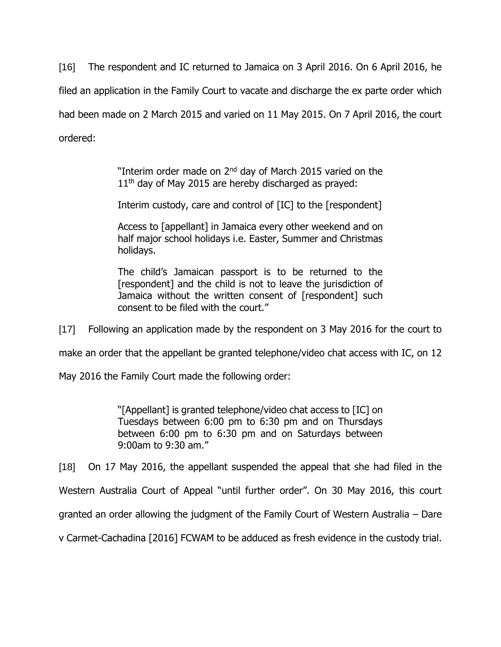[16] The respondent and IC returned to Jamaica on 3 April 2016. On 6 April 2016, he filed an application in the Family Court to vacate and discharge the ex parte order which had been made on 2 March 2015 and varied on 11 May 2015. On 7 April 2016, the court ordered:

> "Interim order made on 2<sup>nd</sup> day of March 2015 varied on the  $11<sup>th</sup>$  day of May 2015 are hereby discharged as prayed:

> Interim custody, care and control of [IC] to the [respondent]

Access to [appellant] in Jamaica every other weekend and on half major school holidays i.e. Easter, Summer and Christmas holidays.

The child's Jamaican passport is to be returned to the [respondent] and the child is not to leave the jurisdiction of Jamaica without the written consent of [respondent] such consent to be filed with the court."

[17] Following an application made by the respondent on 3 May 2016 for the court to

make an order that the appellant be granted telephone/video chat access with IC, on 12

May 2016 the Family Court made the following order:

"[Appellant] is granted telephone/video chat access to [IC] on Tuesdays between 6:00 pm to 6:30 pm and on Thursdays between 6:00 pm to 6:30 pm and on Saturdays between 9:00am to 9:30 am."

[18] On 17 May 2016, the appellant suspended the appeal that she had filed in the

Western Australia Court of Appeal "until further order". On 30 May 2016, this court

granted an order allowing the judgment of the Family Court of Western Australia – Dare

v Carmet-Cachadina [2016] FCWAM to be adduced as fresh evidence in the custody trial.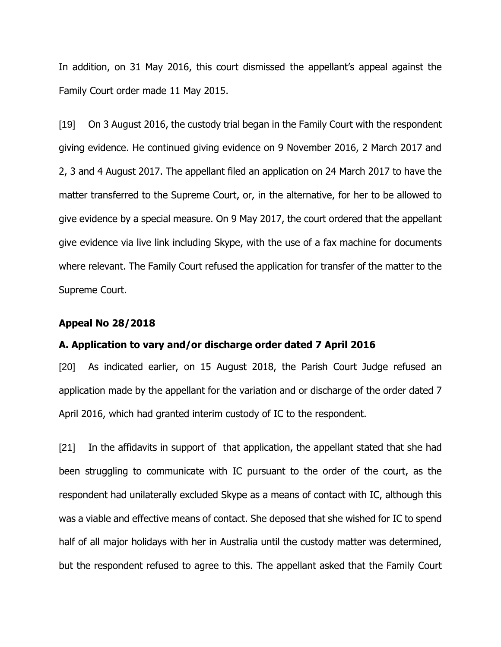In addition, on 31 May 2016, this court dismissed the appellant's appeal against the Family Court order made 11 May 2015.

[19] On 3 August 2016, the custody trial began in the Family Court with the respondent giving evidence. He continued giving evidence on 9 November 2016, 2 March 2017 and 2, 3 and 4 August 2017. The appellant filed an application on 24 March 2017 to have the matter transferred to the Supreme Court, or, in the alternative, for her to be allowed to give evidence by a special measure. On 9 May 2017, the court ordered that the appellant give evidence via live link including Skype, with the use of a fax machine for documents where relevant. The Family Court refused the application for transfer of the matter to the Supreme Court.

#### **Appeal No 28/2018**

#### **A. Application to vary and/or discharge order dated 7 April 2016**

[20] As indicated earlier, on 15 August 2018, the Parish Court Judge refused an application made by the appellant for the variation and or discharge of the order dated 7 April 2016, which had granted interim custody of IC to the respondent.

[21] In the affidavits in support of that application, the appellant stated that she had been struggling to communicate with IC pursuant to the order of the court, as the respondent had unilaterally excluded Skype as a means of contact with IC, although this was a viable and effective means of contact. She deposed that she wished for IC to spend half of all major holidays with her in Australia until the custody matter was determined, but the respondent refused to agree to this. The appellant asked that the Family Court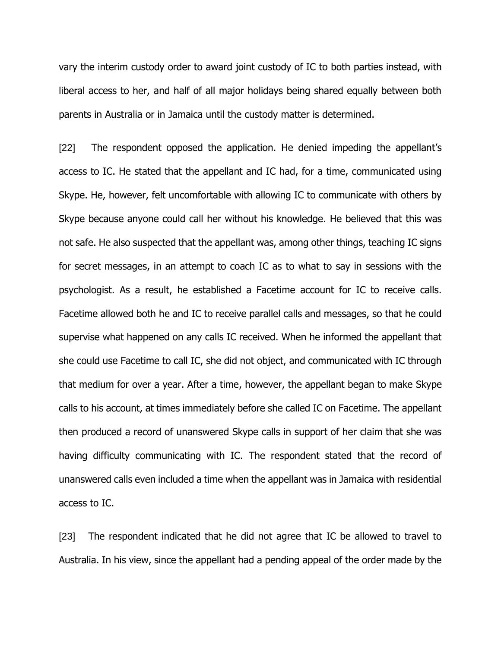vary the interim custody order to award joint custody of IC to both parties instead, with liberal access to her, and half of all major holidays being shared equally between both parents in Australia or in Jamaica until the custody matter is determined.

[22] The respondent opposed the application. He denied impeding the appellant's access to IC. He stated that the appellant and IC had, for a time, communicated using Skype. He, however, felt uncomfortable with allowing IC to communicate with others by Skype because anyone could call her without his knowledge. He believed that this was not safe. He also suspected that the appellant was, among other things, teaching IC signs for secret messages, in an attempt to coach IC as to what to say in sessions with the psychologist. As a result, he established a Facetime account for IC to receive calls. Facetime allowed both he and IC to receive parallel calls and messages, so that he could supervise what happened on any calls IC received. When he informed the appellant that she could use Facetime to call IC, she did not object, and communicated with IC through that medium for over a year. After a time, however, the appellant began to make Skype calls to his account, at times immediately before she called IC on Facetime. The appellant then produced a record of unanswered Skype calls in support of her claim that she was having difficulty communicating with IC. The respondent stated that the record of unanswered calls even included a time when the appellant was in Jamaica with residential access to IC.

[23] The respondent indicated that he did not agree that IC be allowed to travel to Australia. In his view, since the appellant had a pending appeal of the order made by the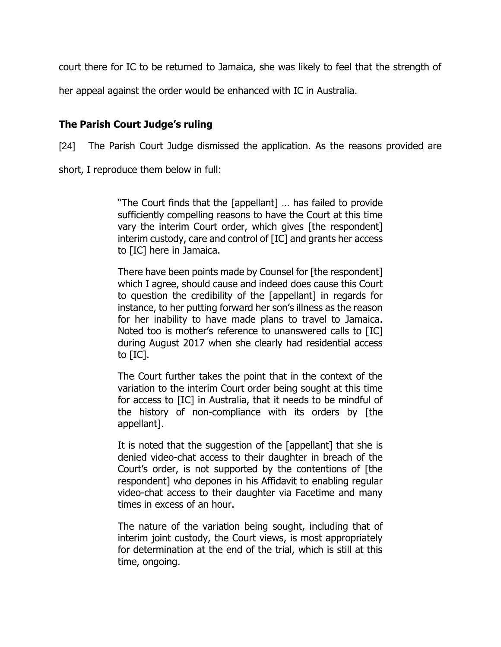court there for IC to be returned to Jamaica, she was likely to feel that the strength of

her appeal against the order would be enhanced with IC in Australia.

# **The Parish Court Judge's ruling**

[24] The Parish Court Judge dismissed the application. As the reasons provided are

short, I reproduce them below in full:

"The Court finds that the [appellant] … has failed to provide sufficiently compelling reasons to have the Court at this time vary the interim Court order, which gives [the respondent] interim custody, care and control of [IC] and grants her access to [IC] here in Jamaica.

There have been points made by Counsel for [the respondent] which I agree, should cause and indeed does cause this Court to question the credibility of the [appellant] in regards for instance, to her putting forward her son's illness as the reason for her inability to have made plans to travel to Jamaica. Noted too is mother's reference to unanswered calls to [IC] during August 2017 when she clearly had residential access to [IC].

The Court further takes the point that in the context of the variation to the interim Court order being sought at this time for access to [IC] in Australia, that it needs to be mindful of the history of non-compliance with its orders by [the appellant].

It is noted that the suggestion of the [appellant] that she is denied video-chat access to their daughter in breach of the Court's order, is not supported by the contentions of [the respondent] who depones in his Affidavit to enabling regular video-chat access to their daughter via Facetime and many times in excess of an hour.

The nature of the variation being sought, including that of interim joint custody, the Court views, is most appropriately for determination at the end of the trial, which is still at this time, ongoing.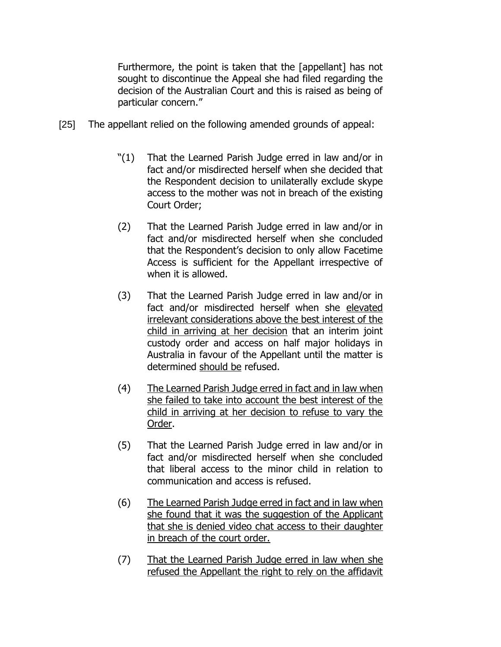Furthermore, the point is taken that the [appellant] has not sought to discontinue the Appeal she had filed regarding the decision of the Australian Court and this is raised as being of particular concern."

- [25] The appellant relied on the following amended grounds of appeal:
	- "(1) That the Learned Parish Judge erred in law and/or in fact and/or misdirected herself when she decided that the Respondent decision to unilaterally exclude skype access to the mother was not in breach of the existing Court Order;
	- (2) That the Learned Parish Judge erred in law and/or in fact and/or misdirected herself when she concluded that the Respondent's decision to only allow Facetime Access is sufficient for the Appellant irrespective of when it is allowed.
	- (3) That the Learned Parish Judge erred in law and/or in fact and/or misdirected herself when she elevated irrelevant considerations above the best interest of the child in arriving at her decision that an interim joint custody order and access on half major holidays in Australia in favour of the Appellant until the matter is determined should be refused.
	- (4) The Learned Parish Judge erred in fact and in law when she failed to take into account the best interest of the child in arriving at her decision to refuse to vary the Order.
	- (5) That the Learned Parish Judge erred in law and/or in fact and/or misdirected herself when she concluded that liberal access to the minor child in relation to communication and access is refused.
	- (6) The Learned Parish Judge erred in fact and in law when she found that it was the suggestion of the Applicant that she is denied video chat access to their daughter in breach of the court order.
	- (7) That the Learned Parish Judge erred in law when she refused the Appellant the right to rely on the affidavit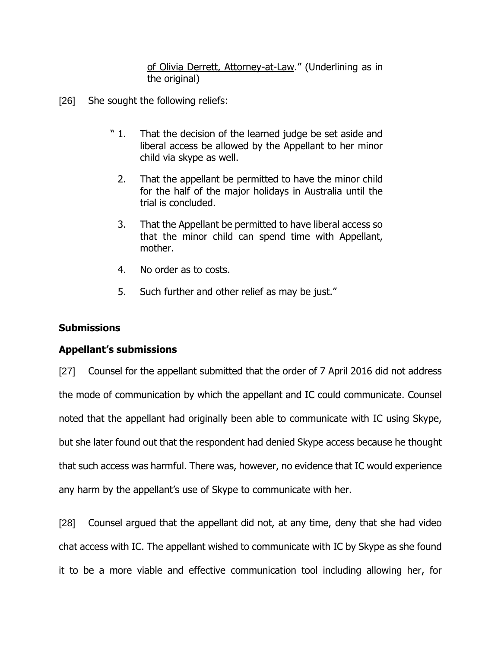of Olivia Derrett, Attorney-at-Law." (Underlining as in the original)

- [26] She sought the following reliefs:
	- " 1. That the decision of the learned judge be set aside and liberal access be allowed by the Appellant to her minor child via skype as well.
		- 2. That the appellant be permitted to have the minor child for the half of the major holidays in Australia until the trial is concluded.
		- 3. That the Appellant be permitted to have liberal access so that the minor child can spend time with Appellant, mother.
		- 4. No order as to costs.
		- 5. Such further and other relief as may be just."

# **Submissions**

# **Appellant's submissions**

[27] Counsel for the appellant submitted that the order of 7 April 2016 did not address the mode of communication by which the appellant and IC could communicate. Counsel noted that the appellant had originally been able to communicate with IC using Skype, but she later found out that the respondent had denied Skype access because he thought that such access was harmful. There was, however, no evidence that IC would experience any harm by the appellant's use of Skype to communicate with her.

[28] Counsel argued that the appellant did not, at any time, deny that she had video chat access with IC. The appellant wished to communicate with IC by Skype as she found it to be a more viable and effective communication tool including allowing her, for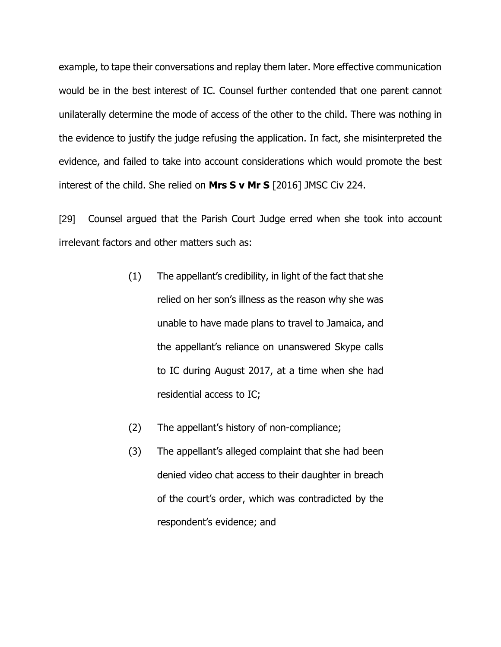example, to tape their conversations and replay them later. More effective communication would be in the best interest of IC. Counsel further contended that one parent cannot unilaterally determine the mode of access of the other to the child. There was nothing in the evidence to justify the judge refusing the application. In fact, she misinterpreted the evidence, and failed to take into account considerations which would promote the best interest of the child. She relied on **Mrs S v Mr S** [2016] JMSC Civ 224.

[29] Counsel argued that the Parish Court Judge erred when she took into account irrelevant factors and other matters such as:

- (1) The appellant's credibility, in light of the fact that she relied on her son's illness as the reason why she was unable to have made plans to travel to Jamaica, and the appellant's reliance on unanswered Skype calls to IC during August 2017, at a time when she had residential access to IC;
- (2) The appellant's history of non-compliance;
- (3) The appellant's alleged complaint that she had been denied video chat access to their daughter in breach of the court's order, which was contradicted by the respondent's evidence; and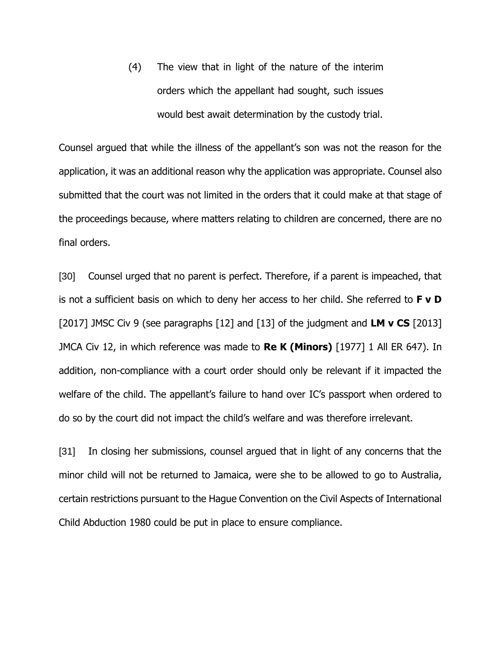(4) The view that in light of the nature of the interim orders which the appellant had sought, such issues would best await determination by the custody trial.

Counsel argued that while the illness of the appellant's son was not the reason for the application, it was an additional reason why the application was appropriate. Counsel also submitted that the court was not limited in the orders that it could make at that stage of the proceedings because, where matters relating to children are concerned, there are no final orders.

[30] Counsel urged that no parent is perfect. Therefore, if a parent is impeached, that is not a sufficient basis on which to deny her access to her child. She referred to **F v D** [2017] JMSC Civ 9 (see paragraphs [12] and [13] of the judgment and **LM v CS** [2013] JMCA Civ 12, in which reference was made to **Re K (Minors)** [1977] 1 All ER 647). In addition, non-compliance with a court order should only be relevant if it impacted the welfare of the child. The appellant's failure to hand over IC's passport when ordered to do so by the court did not impact the child's welfare and was therefore irrelevant.

[31] In closing her submissions, counsel argued that in light of any concerns that the minor child will not be returned to Jamaica, were she to be allowed to go to Australia, certain restrictions pursuant to the Hague Convention on the Civil Aspects of International Child Abduction 1980 could be put in place to ensure compliance.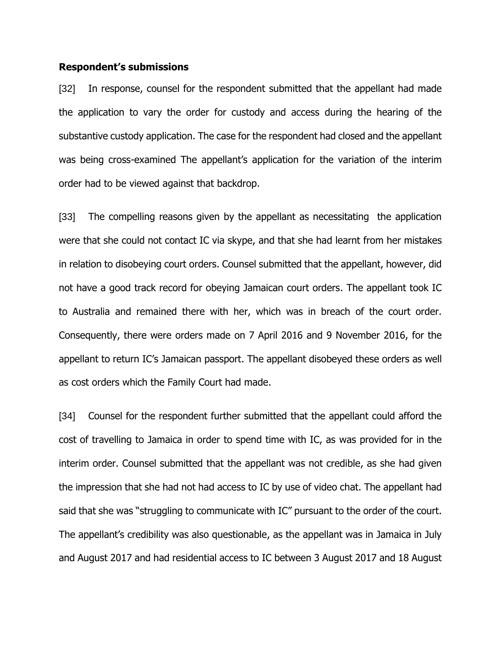#### **Respondent's submissions**

[32] In response, counsel for the respondent submitted that the appellant had made the application to vary the order for custody and access during the hearing of the substantive custody application. The case for the respondent had closed and the appellant was being cross-examined The appellant's application for the variation of the interim order had to be viewed against that backdrop.

[33] The compelling reasons given by the appellant as necessitating the application were that she could not contact IC via skype, and that she had learnt from her mistakes in relation to disobeying court orders. Counsel submitted that the appellant, however, did not have a good track record for obeying Jamaican court orders. The appellant took IC to Australia and remained there with her, which was in breach of the court order. Consequently, there were orders made on 7 April 2016 and 9 November 2016, for the appellant to return IC's Jamaican passport. The appellant disobeyed these orders as well as cost orders which the Family Court had made.

[34] Counsel for the respondent further submitted that the appellant could afford the cost of travelling to Jamaica in order to spend time with IC, as was provided for in the interim order. Counsel submitted that the appellant was not credible, as she had given the impression that she had not had access to IC by use of video chat. The appellant had said that she was "struggling to communicate with IC" pursuant to the order of the court. The appellant's credibility was also questionable, as the appellant was in Jamaica in July and August 2017 and had residential access to IC between 3 August 2017 and 18 August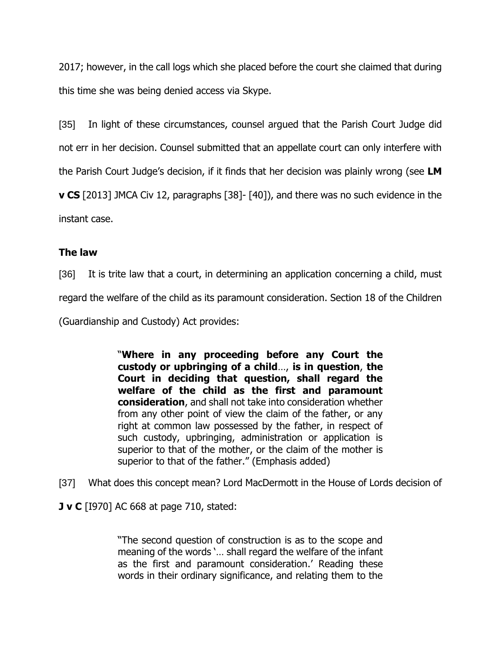2017; however, in the call logs which she placed before the court she claimed that during this time she was being denied access via Skype.

[35] In light of these circumstances, counsel argued that the Parish Court Judge did not err in her decision. Counsel submitted that an appellate court can only interfere with the Parish Court Judge's decision, if it finds that her decision was plainly wrong (see **LM v CS** [2013] JMCA Civ 12, paragraphs [38]- [40]), and there was no such evidence in the instant case.

# **The law**

[36] It is trite law that a court, in determining an application concerning a child, must regard the welfare of the child as its paramount consideration. Section 18 of the Children (Guardianship and Custody) Act provides:

> "**Where in any proceeding before any Court the custody or upbringing of a child**…, **is in question**, **the Court in deciding that question, shall regard the welfare of the child as the first and paramount consideration**, and shall not take into consideration whether from any other point of view the claim of the father, or any right at common law possessed by the father, in respect of such custody, upbringing, administration or application is superior to that of the mother, or the claim of the mother is superior to that of the father." (Emphasis added)

[37] What does this concept mean? Lord MacDermott in the House of Lords decision of

**J v C** [I970] AC 668 at page 710, stated:

"The second question of construction is as to the scope and meaning of the words '… shall regard the welfare of the infant as the first and paramount consideration.' Reading these words in their ordinary significance, and relating them to the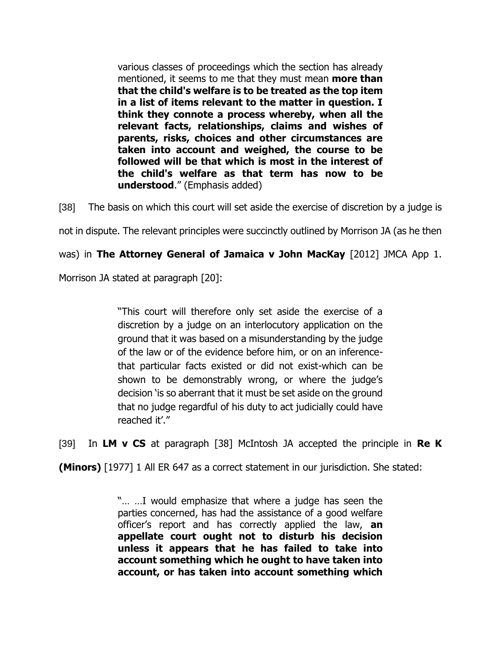various classes of proceedings which the section has already mentioned, it seems to me that they must mean **more than that the child's welfare is to be treated as the top item in a list of items relevant to the matter in question. I think they connote a process whereby, when all the relevant facts, relationships, claims and wishes of parents, risks, choices and other circumstances are taken into account and weighed, the course to be followed will be that which is most in the interest of the child's welfare as that term has now to be understood**." (Emphasis added)

[38] The basis on which this court will set aside the exercise of discretion by a judge is

not in dispute. The relevant principles were succinctly outlined by Morrison JA (as he then

was) in **The Attorney General of Jamaica v John MacKay** [2012] JMCA App 1.

Morrison JA stated at paragraph [20]:

"This court will therefore only set aside the exercise of a discretion by a judge on an interlocutory application on the ground that it was based on a misunderstanding by the judge of the law or of the evidence before him, or on an inferencethat particular facts existed or did not exist-which can be shown to be demonstrably wrong, or where the judge's decision 'is so aberrant that it must be set aside on the ground that no judge regardful of his duty to act judicially could have reached it'."

[39] In **LM v CS** at paragraph [38] McIntosh JA accepted the principle in **Re K** 

**(Minors)** [1977] 1 All ER 647 as a correct statement in our jurisdiction. She stated:

"… …I would emphasize that where a judge has seen the parties concerned, has had the assistance of a good welfare officer's report and has correctly applied the law, **an appellate court ought not to disturb his decision unless it appears that he has failed to take into account something which he ought to have taken into account, or has taken into account something which**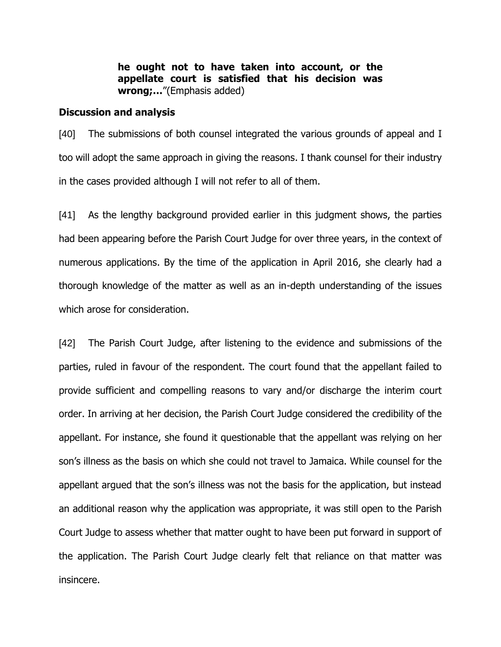**he ought not to have taken into account, or the appellate court is satisfied that his decision was wrong;…**"(Emphasis added)

### **Discussion and analysis**

[40] The submissions of both counsel integrated the various grounds of appeal and I too will adopt the same approach in giving the reasons. I thank counsel for their industry in the cases provided although I will not refer to all of them.

[41] As the lengthy background provided earlier in this judgment shows, the parties had been appearing before the Parish Court Judge for over three years, in the context of numerous applications. By the time of the application in April 2016, she clearly had a thorough knowledge of the matter as well as an in-depth understanding of the issues which arose for consideration.

[42] The Parish Court Judge, after listening to the evidence and submissions of the parties, ruled in favour of the respondent. The court found that the appellant failed to provide sufficient and compelling reasons to vary and/or discharge the interim court order. In arriving at her decision, the Parish Court Judge considered the credibility of the appellant. For instance, she found it questionable that the appellant was relying on her son's illness as the basis on which she could not travel to Jamaica. While counsel for the appellant argued that the son's illness was not the basis for the application, but instead an additional reason why the application was appropriate, it was still open to the Parish Court Judge to assess whether that matter ought to have been put forward in support of the application. The Parish Court Judge clearly felt that reliance on that matter was insincere.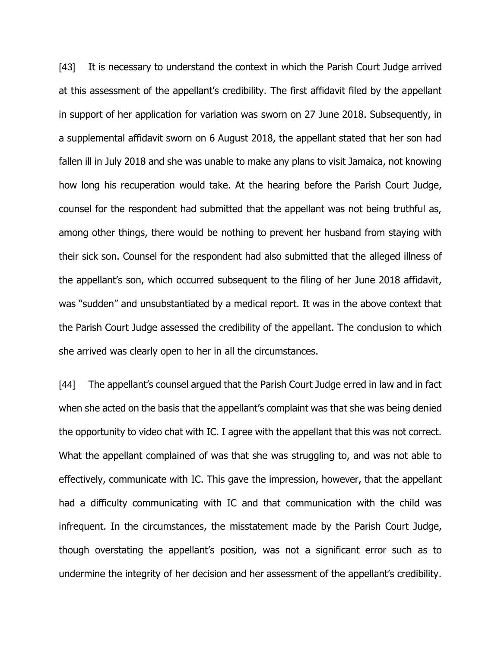[43] It is necessary to understand the context in which the Parish Court Judge arrived at this assessment of the appellant's credibility. The first affidavit filed by the appellant in support of her application for variation was sworn on 27 June 2018. Subsequently, in a supplemental affidavit sworn on 6 August 2018, the appellant stated that her son had fallen ill in July 2018 and she was unable to make any plans to visit Jamaica, not knowing how long his recuperation would take. At the hearing before the Parish Court Judge, counsel for the respondent had submitted that the appellant was not being truthful as, among other things, there would be nothing to prevent her husband from staying with their sick son. Counsel for the respondent had also submitted that the alleged illness of the appellant's son, which occurred subsequent to the filing of her June 2018 affidavit, was "sudden" and unsubstantiated by a medical report. It was in the above context that the Parish Court Judge assessed the credibility of the appellant. The conclusion to which she arrived was clearly open to her in all the circumstances.

[44] The appellant's counsel argued that the Parish Court Judge erred in law and in fact when she acted on the basis that the appellant's complaint was that she was being denied the opportunity to video chat with IC. I agree with the appellant that this was not correct. What the appellant complained of was that she was struggling to, and was not able to effectively, communicate with IC. This gave the impression, however, that the appellant had a difficulty communicating with IC and that communication with the child was infrequent. In the circumstances, the misstatement made by the Parish Court Judge, though overstating the appellant's position, was not a significant error such as to undermine the integrity of her decision and her assessment of the appellant's credibility.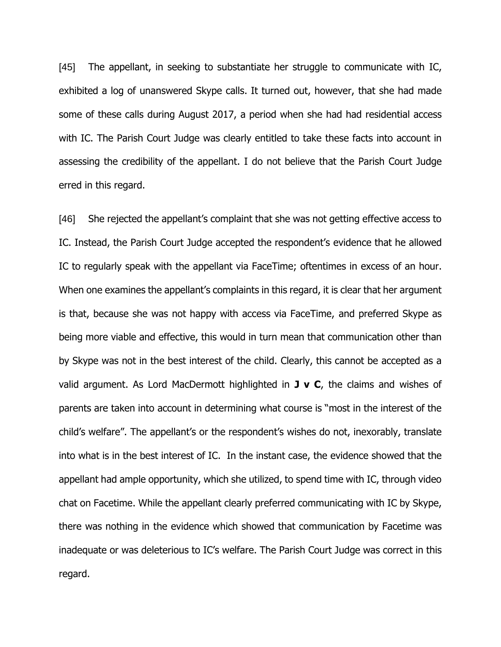[45] The appellant, in seeking to substantiate her struggle to communicate with IC, exhibited a log of unanswered Skype calls. It turned out, however, that she had made some of these calls during August 2017, a period when she had had residential access with IC. The Parish Court Judge was clearly entitled to take these facts into account in assessing the credibility of the appellant. I do not believe that the Parish Court Judge erred in this regard.

[46] She rejected the appellant's complaint that she was not getting effective access to IC. Instead, the Parish Court Judge accepted the respondent's evidence that he allowed IC to regularly speak with the appellant via FaceTime; oftentimes in excess of an hour. When one examines the appellant's complaints in this regard, it is clear that her argument is that, because she was not happy with access via FaceTime, and preferred Skype as being more viable and effective, this would in turn mean that communication other than by Skype was not in the best interest of the child. Clearly, this cannot be accepted as a valid argument. As Lord MacDermott highlighted in **J v C**, the claims and wishes of parents are taken into account in determining what course is "most in the interest of the child's welfare". The appellant's or the respondent's wishes do not, inexorably, translate into what is in the best interest of IC. In the instant case, the evidence showed that the appellant had ample opportunity, which she utilized, to spend time with IC, through video chat on Facetime. While the appellant clearly preferred communicating with IC by Skype, there was nothing in the evidence which showed that communication by Facetime was inadequate or was deleterious to IC's welfare. The Parish Court Judge was correct in this regard.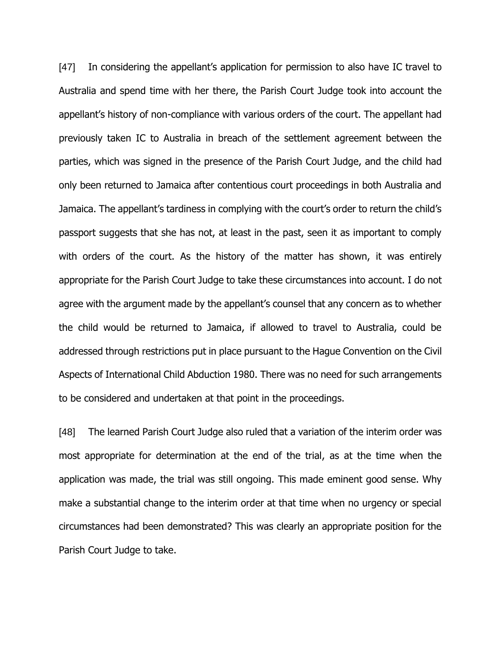[47] In considering the appellant's application for permission to also have IC travel to Australia and spend time with her there, the Parish Court Judge took into account the appellant's history of non-compliance with various orders of the court. The appellant had previously taken IC to Australia in breach of the settlement agreement between the parties, which was signed in the presence of the Parish Court Judge, and the child had only been returned to Jamaica after contentious court proceedings in both Australia and Jamaica. The appellant's tardiness in complying with the court's order to return the child's passport suggests that she has not, at least in the past, seen it as important to comply with orders of the court. As the history of the matter has shown, it was entirely appropriate for the Parish Court Judge to take these circumstances into account. I do not agree with the argument made by the appellant's counsel that any concern as to whether the child would be returned to Jamaica, if allowed to travel to Australia, could be addressed through restrictions put in place pursuant to the Hague Convention on the Civil Aspects of International Child Abduction 1980. There was no need for such arrangements to be considered and undertaken at that point in the proceedings.

[48] The learned Parish Court Judge also ruled that a variation of the interim order was most appropriate for determination at the end of the trial, as at the time when the application was made, the trial was still ongoing. This made eminent good sense. Why make a substantial change to the interim order at that time when no urgency or special circumstances had been demonstrated? This was clearly an appropriate position for the Parish Court Judge to take.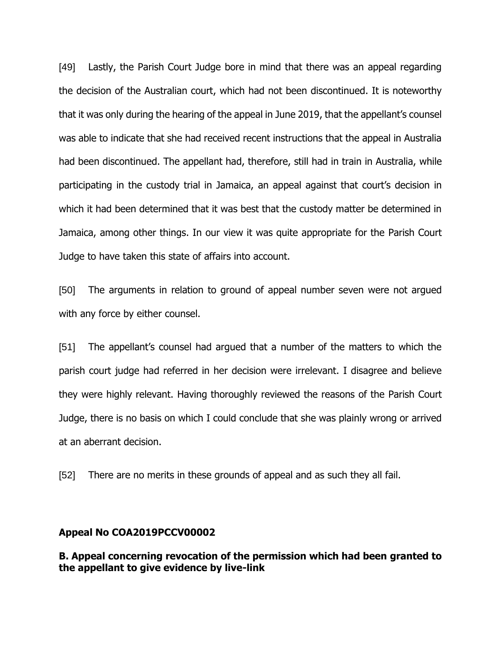[49] Lastly, the Parish Court Judge bore in mind that there was an appeal regarding the decision of the Australian court, which had not been discontinued. It is noteworthy that it was only during the hearing of the appeal in June 2019, that the appellant's counsel was able to indicate that she had received recent instructions that the appeal in Australia had been discontinued. The appellant had, therefore, still had in train in Australia, while participating in the custody trial in Jamaica, an appeal against that court's decision in which it had been determined that it was best that the custody matter be determined in Jamaica, among other things. In our view it was quite appropriate for the Parish Court Judge to have taken this state of affairs into account.

[50] The arguments in relation to ground of appeal number seven were not argued with any force by either counsel.

[51] The appellant's counsel had argued that a number of the matters to which the parish court judge had referred in her decision were irrelevant. I disagree and believe they were highly relevant. Having thoroughly reviewed the reasons of the Parish Court Judge, there is no basis on which I could conclude that she was plainly wrong or arrived at an aberrant decision.

[52] There are no merits in these grounds of appeal and as such they all fail.

#### **Appeal No COA2019PCCV00002**

**B. Appeal concerning revocation of the permission which had been granted to the appellant to give evidence by live-link**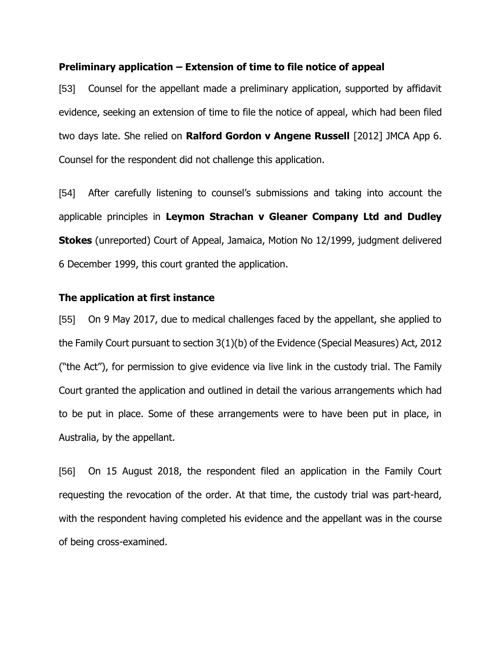### **Preliminary application – Extension of time to file notice of appeal**

[53] Counsel for the appellant made a preliminary application, supported by affidavit evidence, seeking an extension of time to file the notice of appeal, which had been filed two days late. She relied on **Ralford Gordon v Angene Russell** [2012] JMCA App 6. Counsel for the respondent did not challenge this application.

[54] After carefully listening to counsel's submissions and taking into account the applicable principles in **Leymon Strachan v Gleaner Company Ltd and Dudley Stokes** (unreported) Court of Appeal, Jamaica, Motion No 12/1999, judgment delivered 6 December 1999, this court granted the application.

## **The application at first instance**

[55] On 9 May 2017, due to medical challenges faced by the appellant, she applied to the Family Court pursuant to section 3(1)(b) of the Evidence (Special Measures) Act, 2012 ("the Act"), for permission to give evidence via live link in the custody trial. The Family Court granted the application and outlined in detail the various arrangements which had to be put in place. Some of these arrangements were to have been put in place, in Australia, by the appellant.

[56] On 15 August 2018, the respondent filed an application in the Family Court requesting the revocation of the order. At that time, the custody trial was part-heard, with the respondent having completed his evidence and the appellant was in the course of being cross-examined.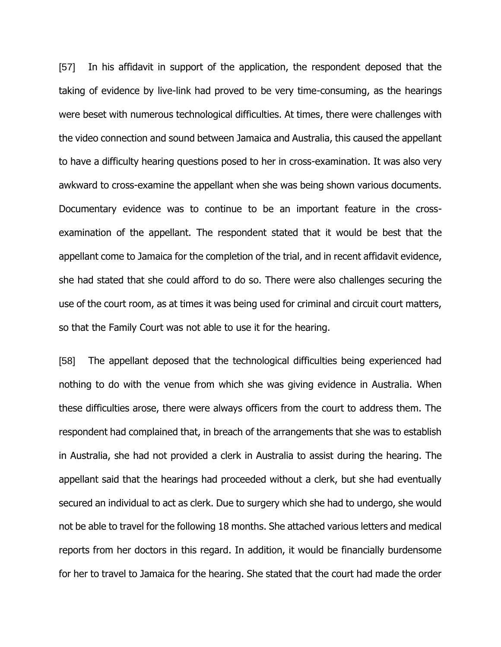[57] In his affidavit in support of the application, the respondent deposed that the taking of evidence by live-link had proved to be very time-consuming, as the hearings were beset with numerous technological difficulties. At times, there were challenges with the video connection and sound between Jamaica and Australia, this caused the appellant to have a difficulty hearing questions posed to her in cross-examination. It was also very awkward to cross-examine the appellant when she was being shown various documents. Documentary evidence was to continue to be an important feature in the crossexamination of the appellant. The respondent stated that it would be best that the appellant come to Jamaica for the completion of the trial, and in recent affidavit evidence, she had stated that she could afford to do so. There were also challenges securing the use of the court room, as at times it was being used for criminal and circuit court matters, so that the Family Court was not able to use it for the hearing.

[58] The appellant deposed that the technological difficulties being experienced had nothing to do with the venue from which she was giving evidence in Australia. When these difficulties arose, there were always officers from the court to address them. The respondent had complained that, in breach of the arrangements that she was to establish in Australia, she had not provided a clerk in Australia to assist during the hearing. The appellant said that the hearings had proceeded without a clerk, but she had eventually secured an individual to act as clerk. Due to surgery which she had to undergo, she would not be able to travel for the following 18 months. She attached various letters and medical reports from her doctors in this regard. In addition, it would be financially burdensome for her to travel to Jamaica for the hearing. She stated that the court had made the order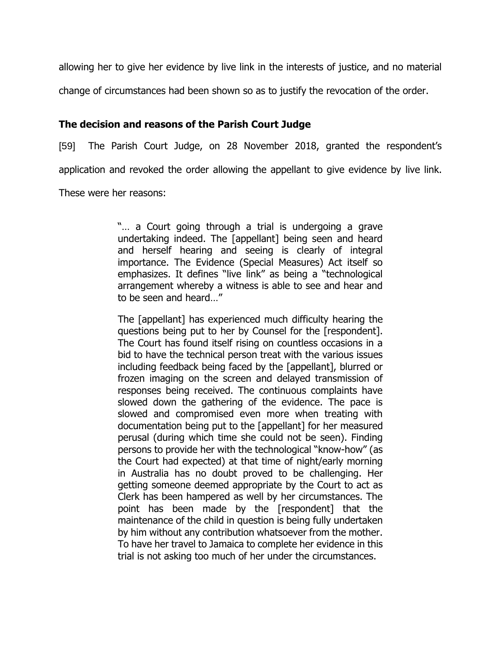allowing her to give her evidence by live link in the interests of justice, and no material change of circumstances had been shown so as to justify the revocation of the order.

## **The decision and reasons of the Parish Court Judge**

[59] The Parish Court Judge, on 28 November 2018, granted the respondent's application and revoked the order allowing the appellant to give evidence by live link.

These were her reasons:

"… a Court going through a trial is undergoing a grave undertaking indeed. The [appellant] being seen and heard and herself hearing and seeing is clearly of integral importance. The Evidence (Special Measures) Act itself so emphasizes. It defines "live link" as being a "technological arrangement whereby a witness is able to see and hear and to be seen and heard…"

The [appellant] has experienced much difficulty hearing the questions being put to her by Counsel for the [respondent]. The Court has found itself rising on countless occasions in a bid to have the technical person treat with the various issues including feedback being faced by the [appellant], blurred or frozen imaging on the screen and delayed transmission of responses being received. The continuous complaints have slowed down the gathering of the evidence. The pace is slowed and compromised even more when treating with documentation being put to the [appellant] for her measured perusal (during which time she could not be seen). Finding persons to provide her with the technological "know-how" (as the Court had expected) at that time of night/early morning in Australia has no doubt proved to be challenging. Her getting someone deemed appropriate by the Court to act as Clerk has been hampered as well by her circumstances. The point has been made by the [respondent] that the maintenance of the child in question is being fully undertaken by him without any contribution whatsoever from the mother. To have her travel to Jamaica to complete her evidence in this trial is not asking too much of her under the circumstances.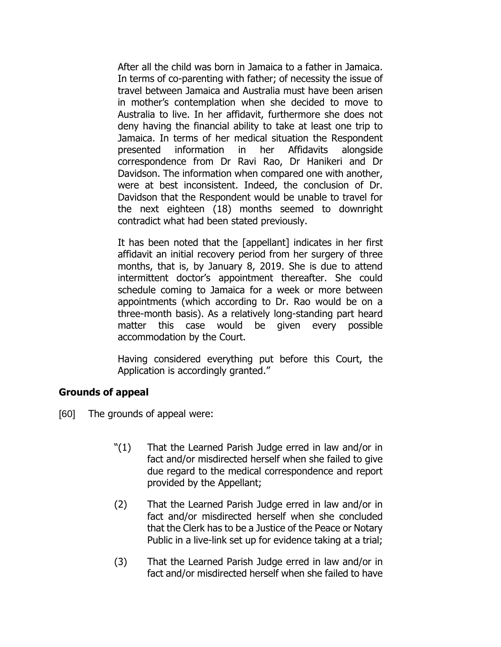After all the child was born in Jamaica to a father in Jamaica. In terms of co-parenting with father; of necessity the issue of travel between Jamaica and Australia must have been arisen in mother's contemplation when she decided to move to Australia to live. In her affidavit, furthermore she does not deny having the financial ability to take at least one trip to Jamaica. In terms of her medical situation the Respondent presented information in her Affidavits alongside correspondence from Dr Ravi Rao, Dr Hanikeri and Dr Davidson. The information when compared one with another, were at best inconsistent. Indeed, the conclusion of Dr. Davidson that the Respondent would be unable to travel for the next eighteen (18) months seemed to downright contradict what had been stated previously.

It has been noted that the [appellant] indicates in her first affidavit an initial recovery period from her surgery of three months, that is, by January 8, 2019. She is due to attend intermittent doctor's appointment thereafter. She could schedule coming to Jamaica for a week or more between appointments (which according to Dr. Rao would be on a three-month basis). As a relatively long-standing part heard matter this case would be given every possible accommodation by the Court.

Having considered everything put before this Court, the Application is accordingly granted."

# **Grounds of appeal**

- [60] The grounds of appeal were:
	- "(1) That the Learned Parish Judge erred in law and/or in fact and/or misdirected herself when she failed to give due regard to the medical correspondence and report provided by the Appellant;
	- (2) That the Learned Parish Judge erred in law and/or in fact and/or misdirected herself when she concluded that the Clerk has to be a Justice of the Peace or Notary Public in a live-link set up for evidence taking at a trial;
	- (3) That the Learned Parish Judge erred in law and/or in fact and/or misdirected herself when she failed to have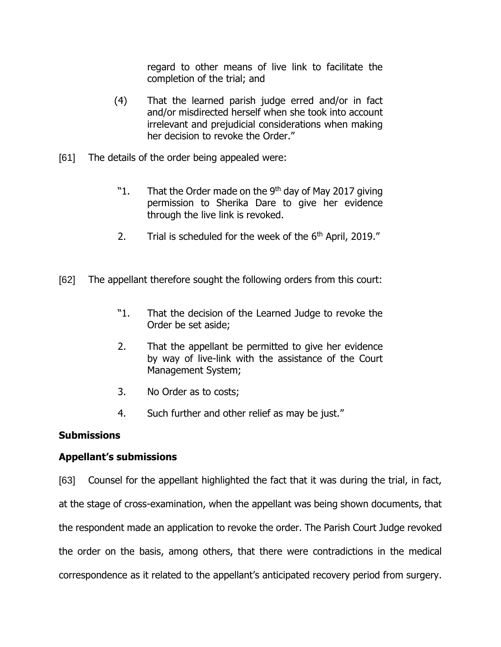regard to other means of live link to facilitate the completion of the trial; and

- (4) That the learned parish judge erred and/or in fact and/or misdirected herself when she took into account irrelevant and prejudicial considerations when making her decision to revoke the Order."
- [61] The details of the order being appealed were:
	- "1. That the Order made on the 9<sup>th</sup> day of May 2017 giving permission to Sherika Dare to give her evidence through the live link is revoked.
	- 2. Trial is scheduled for the week of the  $6<sup>th</sup>$  April, 2019."
- [62] The appellant therefore sought the following orders from this court:
	- "1. That the decision of the Learned Judge to revoke the Order be set aside;
	- 2. That the appellant be permitted to give her evidence by way of live-link with the assistance of the Court Management System;
	- 3. No Order as to costs;
	- 4. Such further and other relief as may be just."

# **Submissions**

# **Appellant's submissions**

[63] Counsel for the appellant highlighted the fact that it was during the trial, in fact, at the stage of cross-examination, when the appellant was being shown documents, that the respondent made an application to revoke the order. The Parish Court Judge revoked the order on the basis, among others, that there were contradictions in the medical correspondence as it related to the appellant's anticipated recovery period from surgery.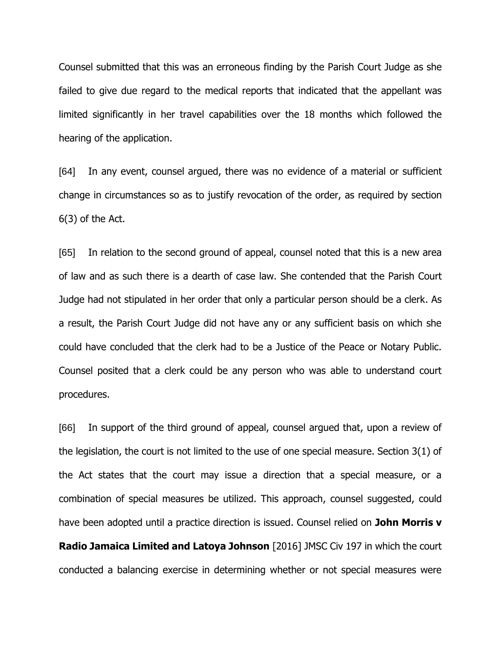Counsel submitted that this was an erroneous finding by the Parish Court Judge as she failed to give due regard to the medical reports that indicated that the appellant was limited significantly in her travel capabilities over the 18 months which followed the hearing of the application.

[64] In any event, counsel argued, there was no evidence of a material or sufficient change in circumstances so as to justify revocation of the order, as required by section  $6(3)$  of the Act.

[65] In relation to the second ground of appeal, counsel noted that this is a new area of law and as such there is a dearth of case law. She contended that the Parish Court Judge had not stipulated in her order that only a particular person should be a clerk. As a result, the Parish Court Judge did not have any or any sufficient basis on which she could have concluded that the clerk had to be a Justice of the Peace or Notary Public. Counsel posited that a clerk could be any person who was able to understand court procedures.

[66] In support of the third ground of appeal, counsel argued that, upon a review of the legislation, the court is not limited to the use of one special measure. Section 3(1) of the Act states that the court may issue a direction that a special measure, or a combination of special measures be utilized. This approach, counsel suggested, could have been adopted until a practice direction is issued. Counsel relied on **John Morris v Radio Jamaica Limited and Latoya Johnson** [2016] JMSC Civ 197 in which the court conducted a balancing exercise in determining whether or not special measures were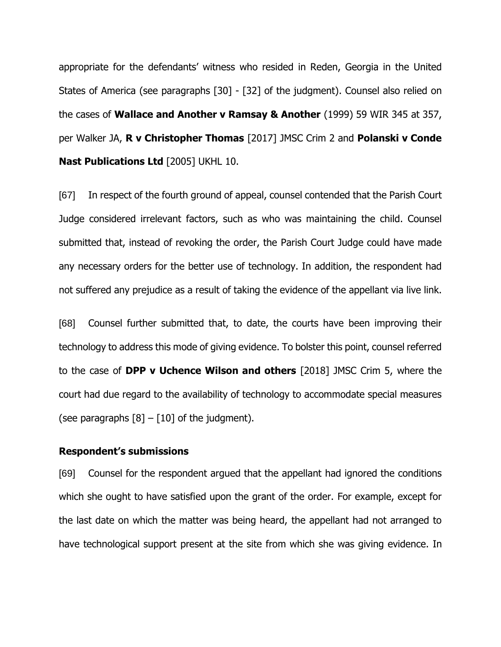appropriate for the defendants' witness who resided in Reden, Georgia in the United States of America (see paragraphs [30] - [32] of the judgment). Counsel also relied on the cases of **Wallace and Another v Ramsay & Another** (1999) 59 WIR 345 at 357, per Walker JA, **R v Christopher Thomas** [2017] JMSC Crim 2 and **Polanski v Conde Nast Publications Ltd** [2005] UKHL 10.

[67] In respect of the fourth ground of appeal, counsel contended that the Parish Court Judge considered irrelevant factors, such as who was maintaining the child. Counsel submitted that, instead of revoking the order, the Parish Court Judge could have made any necessary orders for the better use of technology. In addition, the respondent had not suffered any prejudice as a result of taking the evidence of the appellant via live link.

[68] Counsel further submitted that, to date, the courts have been improving their technology to address this mode of giving evidence. To bolster this point, counsel referred to the case of **DPP v Uchence Wilson and others** [2018] JMSC Crim 5, where the court had due regard to the availability of technology to accommodate special measures (see paragraphs  $[8] - [10]$  of the judgment).

### **Respondent's submissions**

[69] Counsel for the respondent argued that the appellant had ignored the conditions which she ought to have satisfied upon the grant of the order. For example, except for the last date on which the matter was being heard, the appellant had not arranged to have technological support present at the site from which she was giving evidence. In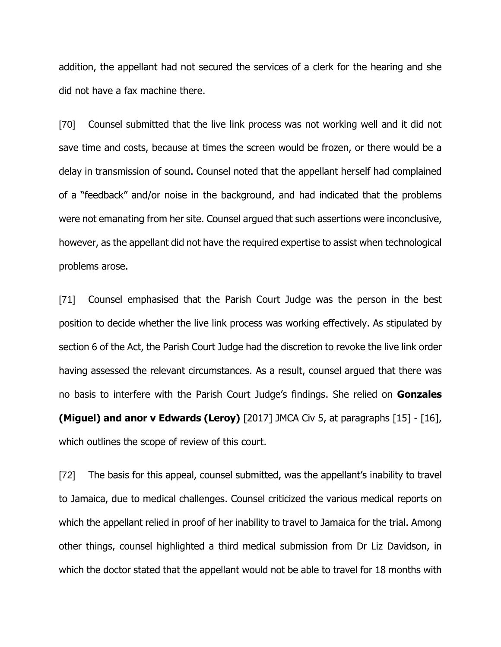addition, the appellant had not secured the services of a clerk for the hearing and she did not have a fax machine there.

[70] Counsel submitted that the live link process was not working well and it did not save time and costs, because at times the screen would be frozen, or there would be a delay in transmission of sound. Counsel noted that the appellant herself had complained of a "feedback" and/or noise in the background, and had indicated that the problems were not emanating from her site. Counsel argued that such assertions were inconclusive, however, as the appellant did not have the required expertise to assist when technological problems arose.

[71] Counsel emphasised that the Parish Court Judge was the person in the best position to decide whether the live link process was working effectively. As stipulated by section 6 of the Act, the Parish Court Judge had the discretion to revoke the live link order having assessed the relevant circumstances. As a result, counsel argued that there was no basis to interfere with the Parish Court Judge's findings. She relied on **Gonzales (Miguel) and anor v Edwards (Leroy)** [2017] JMCA Civ 5, at paragraphs [15] - [16], which outlines the scope of review of this court.

[72] The basis for this appeal, counsel submitted, was the appellant's inability to travel to Jamaica, due to medical challenges. Counsel criticized the various medical reports on which the appellant relied in proof of her inability to travel to Jamaica for the trial. Among other things, counsel highlighted a third medical submission from Dr Liz Davidson, in which the doctor stated that the appellant would not be able to travel for 18 months with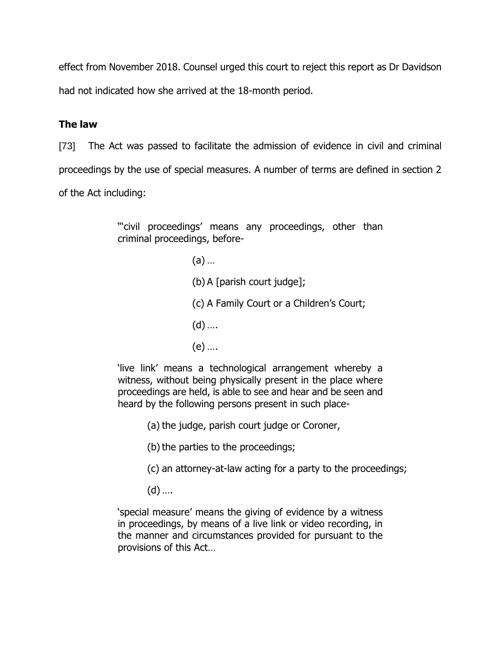effect from November 2018. Counsel urged this court to reject this report as Dr Davidson

had not indicated how she arrived at the 18-month period.

# **The law**

[73] The Act was passed to facilitate the admission of evidence in civil and criminal proceedings by the use of special measures. A number of terms are defined in section 2 of the Act including:

> "civil proceedings' means any proceedings, other than criminal proceedings, before-

> > (a) …

- (b) A [parish court judge];
- (c) A Family Court or a Children's Court;
- $(d)$  ....
- (e) ….

'live link' means a technological arrangement whereby a witness, without being physically present in the place where proceedings are held, is able to see and hear and be seen and heard by the following persons present in such place-

(a) the judge, parish court judge or Coroner,

(b) the parties to the proceedings;

- (c) an attorney-at-law acting for a party to the proceedings;
- $(d)$  ....

'special measure' means the giving of evidence by a witness in proceedings, by means of a live link or video recording, in the manner and circumstances provided for pursuant to the provisions of this Act…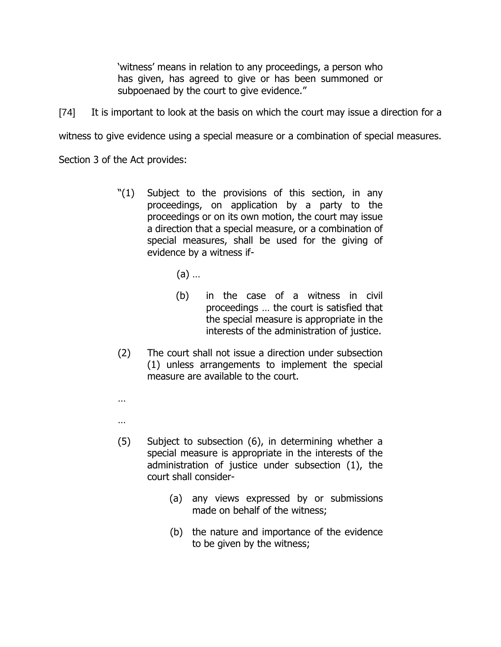'witness' means in relation to any proceedings, a person who has given, has agreed to give or has been summoned or subpoenaed by the court to give evidence."

[74] It is important to look at the basis on which the court may issue a direction for a

witness to give evidence using a special measure or a combination of special measures.

Section 3 of the Act provides:

- "(1) Subject to the provisions of this section, in any proceedings, on application by a party to the proceedings or on its own motion, the court may issue a direction that a special measure, or a combination of special measures, shall be used for the giving of evidence by a witness if-
	- (a) …
	- (b) in the case of a witness in civil proceedings … the court is satisfied that the special measure is appropriate in the interests of the administration of justice.
- (2) The court shall not issue a direction under subsection (1) unless arrangements to implement the special measure are available to the court.
- …
- …
- (5) Subject to subsection (6), in determining whether a special measure is appropriate in the interests of the administration of justice under subsection (1), the court shall consider-
	- (a) any views expressed by or submissions made on behalf of the witness;
	- (b) the nature and importance of the evidence to be given by the witness;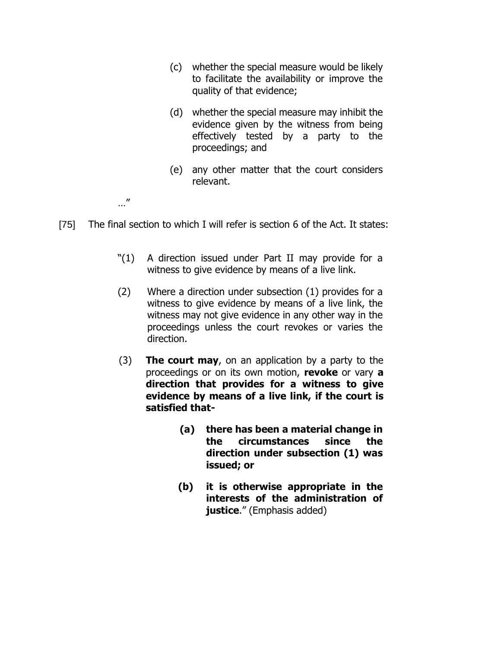- (c) whether the special measure would be likely to facilitate the availability or improve the quality of that evidence;
- (d) whether the special measure may inhibit the evidence given by the witness from being effectively tested by a party to the proceedings; and
- (e) any other matter that the court considers relevant.

…"

- [75] The final section to which I will refer is section 6 of the Act. It states:
	- "(1) A direction issued under Part II may provide for a witness to give evidence by means of a live link.
	- (2) Where a direction under subsection (1) provides for a witness to give evidence by means of a live link, the witness may not give evidence in any other way in the proceedings unless the court revokes or varies the direction.
	- (3) **The court may**, on an application by a party to the proceedings or on its own motion, **revoke** or vary **a direction that provides for a witness to give evidence by means of a live link, if the court is satisfied that-**
		- **(a) there has been a material change in the circumstances since the direction under subsection (1) was issued; or**
		- **(b) it is otherwise appropriate in the interests of the administration of justice**." (Emphasis added)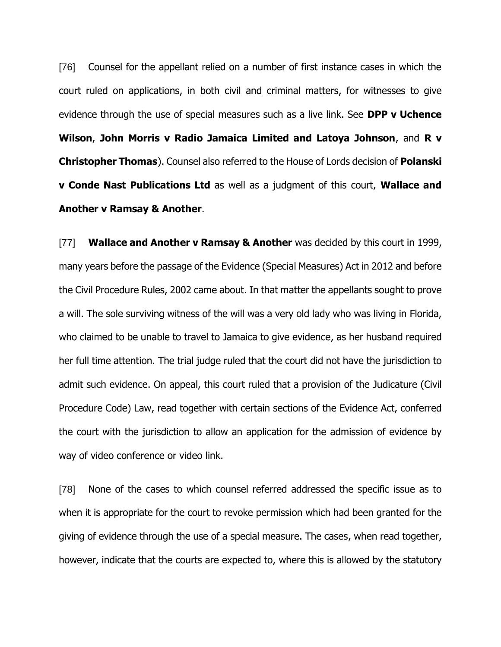[76] Counsel for the appellant relied on a number of first instance cases in which the court ruled on applications, in both civil and criminal matters, for witnesses to give evidence through the use of special measures such as a live link. See **DPP v Uchence Wilson**, **John Morris v Radio Jamaica Limited and Latoya Johnson**, and **R v Christopher Thomas**). Counsel also referred to the House of Lords decision of **Polanski v Conde Nast Publications Ltd** as well as a judgment of this court, **Wallace and Another v Ramsay & Another**.

[77] **Wallace and Another v Ramsay & Another** was decided by this court in 1999, many years before the passage of the Evidence (Special Measures) Act in 2012 and before the Civil Procedure Rules, 2002 came about. In that matter the appellants sought to prove a will. The sole surviving witness of the will was a very old lady who was living in Florida, who claimed to be unable to travel to Jamaica to give evidence, as her husband required her full time attention. The trial judge ruled that the court did not have the jurisdiction to admit such evidence. On appeal, this court ruled that a provision of the Judicature (Civil Procedure Code) Law, read together with certain sections of the Evidence Act, conferred the court with the jurisdiction to allow an application for the admission of evidence by way of video conference or video link.

[78] None of the cases to which counsel referred addressed the specific issue as to when it is appropriate for the court to revoke permission which had been granted for the giving of evidence through the use of a special measure. The cases, when read together, however, indicate that the courts are expected to, where this is allowed by the statutory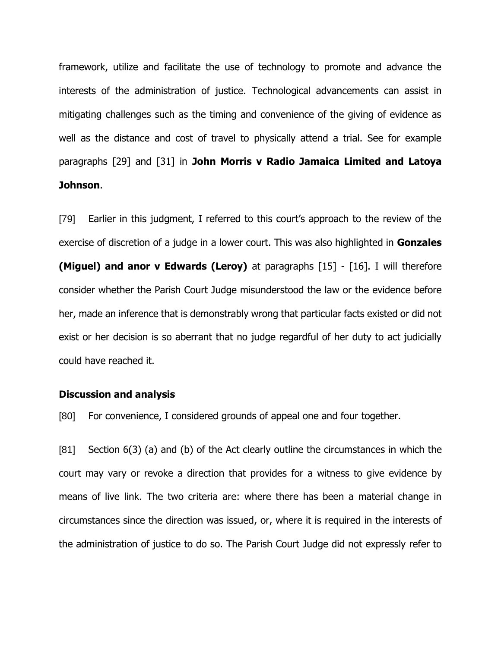framework, utilize and facilitate the use of technology to promote and advance the interests of the administration of justice. Technological advancements can assist in mitigating challenges such as the timing and convenience of the giving of evidence as well as the distance and cost of travel to physically attend a trial. See for example paragraphs [29] and [31] in **John Morris v Radio Jamaica Limited and Latoya Johnson**.

[79] Earlier in this judgment, I referred to this court's approach to the review of the exercise of discretion of a judge in a lower court. This was also highlighted in **Gonzales (Miguel) and anor v Edwards (Leroy)** at paragraphs [15] - [16]. I will therefore consider whether the Parish Court Judge misunderstood the law or the evidence before her, made an inference that is demonstrably wrong that particular facts existed or did not exist or her decision is so aberrant that no judge regardful of her duty to act judicially could have reached it.

#### **Discussion and analysis**

[80] For convenience, I considered grounds of appeal one and four together.

[81] Section 6(3) (a) and (b) of the Act clearly outline the circumstances in which the court may vary or revoke a direction that provides for a witness to give evidence by means of live link. The two criteria are: where there has been a material change in circumstances since the direction was issued, or, where it is required in the interests of the administration of justice to do so. The Parish Court Judge did not expressly refer to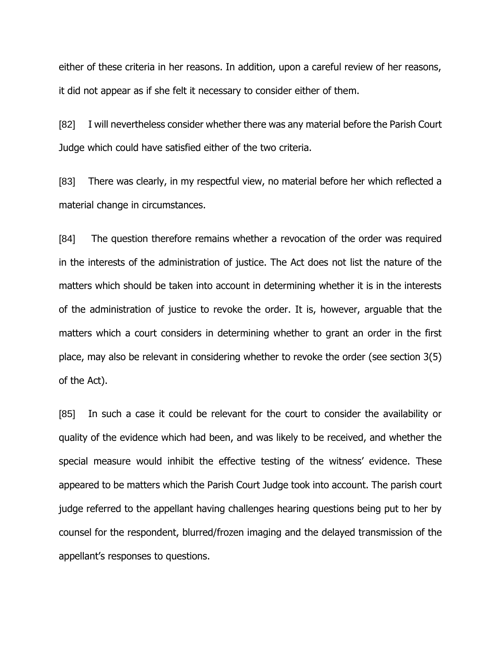either of these criteria in her reasons. In addition, upon a careful review of her reasons, it did not appear as if she felt it necessary to consider either of them.

[82] I will nevertheless consider whether there was any material before the Parish Court Judge which could have satisfied either of the two criteria.

[83] There was clearly, in my respectful view, no material before her which reflected a material change in circumstances.

[84] The question therefore remains whether a revocation of the order was required in the interests of the administration of justice. The Act does not list the nature of the matters which should be taken into account in determining whether it is in the interests of the administration of justice to revoke the order. It is, however, arguable that the matters which a court considers in determining whether to grant an order in the first place, may also be relevant in considering whether to revoke the order (see section 3(5) of the Act).

[85] In such a case it could be relevant for the court to consider the availability or quality of the evidence which had been, and was likely to be received, and whether the special measure would inhibit the effective testing of the witness' evidence. These appeared to be matters which the Parish Court Judge took into account. The parish court judge referred to the appellant having challenges hearing questions being put to her by counsel for the respondent, blurred/frozen imaging and the delayed transmission of the appellant's responses to questions.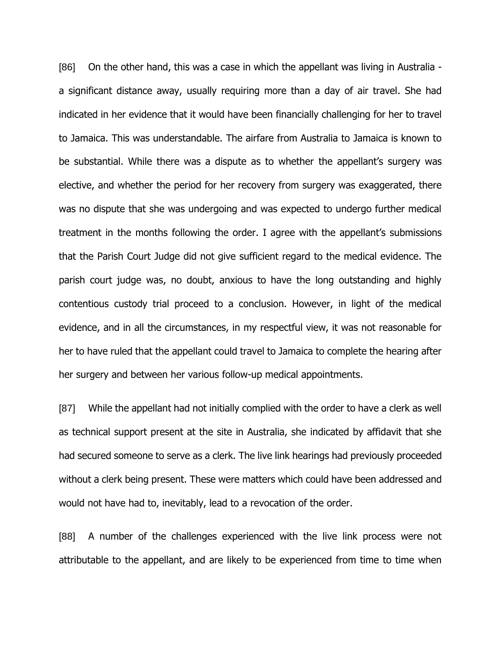[86] On the other hand, this was a case in which the appellant was living in Australia a significant distance away, usually requiring more than a day of air travel. She had indicated in her evidence that it would have been financially challenging for her to travel to Jamaica. This was understandable. The airfare from Australia to Jamaica is known to be substantial. While there was a dispute as to whether the appellant's surgery was elective, and whether the period for her recovery from surgery was exaggerated, there was no dispute that she was undergoing and was expected to undergo further medical treatment in the months following the order. I agree with the appellant's submissions that the Parish Court Judge did not give sufficient regard to the medical evidence. The parish court judge was, no doubt, anxious to have the long outstanding and highly contentious custody trial proceed to a conclusion. However, in light of the medical evidence, and in all the circumstances, in my respectful view, it was not reasonable for her to have ruled that the appellant could travel to Jamaica to complete the hearing after her surgery and between her various follow-up medical appointments.

[87] While the appellant had not initially complied with the order to have a clerk as well as technical support present at the site in Australia, she indicated by affidavit that she had secured someone to serve as a clerk. The live link hearings had previously proceeded without a clerk being present. These were matters which could have been addressed and would not have had to, inevitably, lead to a revocation of the order.

[88] A number of the challenges experienced with the live link process were not attributable to the appellant, and are likely to be experienced from time to time when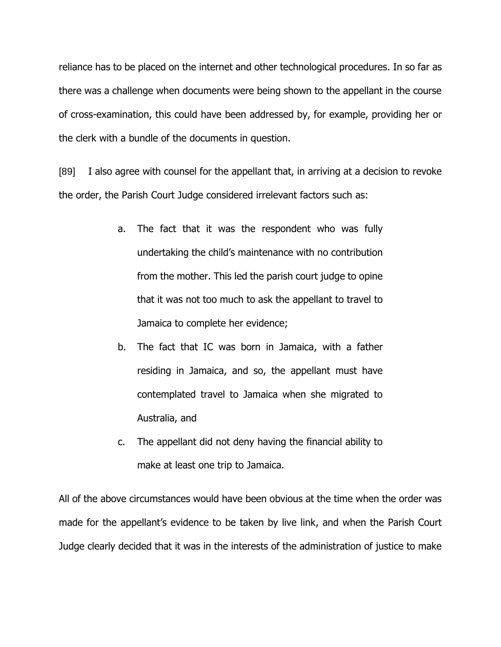reliance has to be placed on the internet and other technological procedures. In so far as there was a challenge when documents were being shown to the appellant in the course of cross-examination, this could have been addressed by, for example, providing her or the clerk with a bundle of the documents in question.

[89] I also agree with counsel for the appellant that, in arriving at a decision to revoke the order, the Parish Court Judge considered irrelevant factors such as:

- a. The fact that it was the respondent who was fully undertaking the child's maintenance with no contribution from the mother. This led the parish court judge to opine that it was not too much to ask the appellant to travel to Jamaica to complete her evidence;
- b. The fact that IC was born in Jamaica, with a father residing in Jamaica, and so, the appellant must have contemplated travel to Jamaica when she migrated to Australia, and
- c. The appellant did not deny having the financial ability to make at least one trip to Jamaica.

All of the above circumstances would have been obvious at the time when the order was made for the appellant's evidence to be taken by live link, and when the Parish Court Judge clearly decided that it was in the interests of the administration of justice to make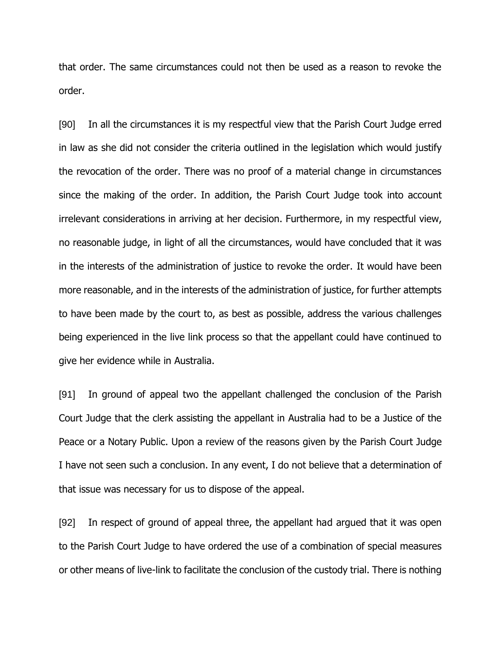that order. The same circumstances could not then be used as a reason to revoke the order.

[90] In all the circumstances it is my respectful view that the Parish Court Judge erred in law as she did not consider the criteria outlined in the legislation which would justify the revocation of the order. There was no proof of a material change in circumstances since the making of the order. In addition, the Parish Court Judge took into account irrelevant considerations in arriving at her decision. Furthermore, in my respectful view, no reasonable judge, in light of all the circumstances, would have concluded that it was in the interests of the administration of justice to revoke the order. It would have been more reasonable, and in the interests of the administration of justice, for further attempts to have been made by the court to, as best as possible, address the various challenges being experienced in the live link process so that the appellant could have continued to give her evidence while in Australia.

[91] In ground of appeal two the appellant challenged the conclusion of the Parish Court Judge that the clerk assisting the appellant in Australia had to be a Justice of the Peace or a Notary Public. Upon a review of the reasons given by the Parish Court Judge I have not seen such a conclusion. In any event, I do not believe that a determination of that issue was necessary for us to dispose of the appeal.

[92] In respect of ground of appeal three, the appellant had argued that it was open to the Parish Court Judge to have ordered the use of a combination of special measures or other means of live-link to facilitate the conclusion of the custody trial. There is nothing